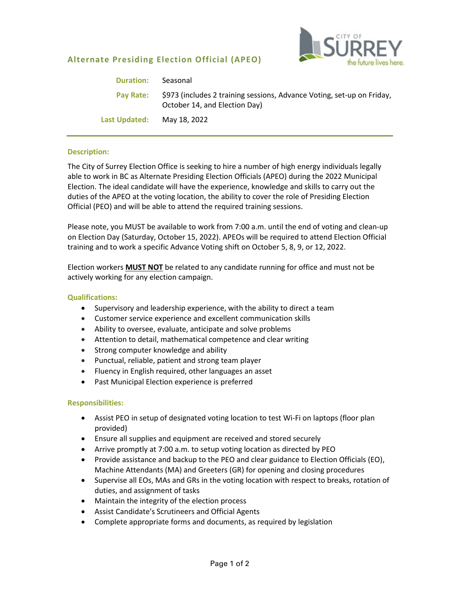# **Alternate Presiding Election Official (APEO)**



| <b>Duration:</b> | Seasonal                                                                                                |
|------------------|---------------------------------------------------------------------------------------------------------|
| Pay Rate:        | \$973 (includes 2 training sessions, Advance Voting, set-up on Friday,<br>October 14, and Election Day) |
| Last Updated:    | May 18, 2022                                                                                            |

## **Description:**

The City of Surrey Election Office is seeking to hire a number of high energy individuals legally able to work in BC as Alternate Presiding Election Officials (APEO) during the 2022 Municipal Election. The ideal candidate will have the experience, knowledge and skills to carry out the duties of the APEO at the voting location, the ability to cover the role of Presiding Election Official (PEO) and will be able to attend the required training sessions.

Please note, you MUST be available to work from 7:00 a.m. until the end of voting and clean-up on Election Day (Saturday, October 15, 2022). APEOs will be required to attend Election Official training and to work a specific Advance Voting shift on October 5, 8, 9, or 12, 2022.

Election workers **MUST NOT** be related to any candidate running for office and must not be actively working for any election campaign.

#### **Qualifications:**

- Supervisory and leadership experience, with the ability to direct a team
- Customer service experience and excellent communication skills
- Ability to oversee, evaluate, anticipate and solve problems
- Attention to detail, mathematical competence and clear writing
- Strong computer knowledge and ability
- Punctual, reliable, patient and strong team player
- Fluency in English required, other languages an asset
- Past Municipal Election experience is preferred

## **Responsibilities:**

- Assist PEO in setup of designated voting location to test Wi-Fi on laptops (floor plan provided)
- Ensure all supplies and equipment are received and stored securely
- Arrive promptly at 7:00 a.m. to setup voting location as directed by PEO
- Provide assistance and backup to the PEO and clear guidance to Election Officials (EO), Machine Attendants (MA) and Greeters (GR) for opening and closing procedures
- Supervise all EOs, MAs and GRs in the voting location with respect to breaks, rotation of duties, and assignment of tasks
- Maintain the integrity of the election process
- Assist Candidate's Scrutineers and Official Agents
- Complete appropriate forms and documents, as required by legislation